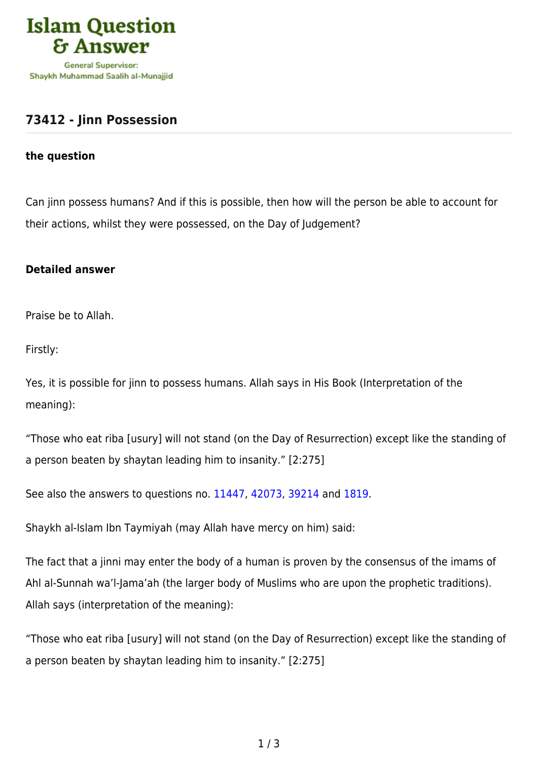

## **[73412 - Jinn Possession](https://islamqa.com/en/answers/73412/jinn-possession)**

## **the question**

Can jinn possess humans? And if this is possible, then how will the person be able to account for their actions, whilst they were possessed, on the Day of Judgement?

## **Detailed answer**

Praise be to Allah.

Firstly:

Yes, it is possible for jinn to possess humans. Allah says in His Book (Interpretation of the meaning):

"Those who eat riba [usury] will not stand (on the Day of Resurrection) except like the standing of a person beaten by shaytan leading him to insanity." [2:275]

See also the answers to questions no. [11447](https://islamqa.com/en/answers/11447), [42073](https://islamqa.com/en/answers/42073), [39214](https://islamqa.com/en/answers/39214) and [1819](https://islamqa.com/en/answers/1819).

Shaykh al-Islam Ibn Taymiyah (may Allah have mercy on him) said:

The fact that a jinni may enter the body of a human is proven by the consensus of the imams of Ahl al-Sunnah wa'l-Jama'ah (the larger body of Muslims who are upon the prophetic traditions). Allah says (interpretation of the meaning):

"Those who eat riba [usury] will not stand (on the Day of Resurrection) except like the standing of a person beaten by shaytan leading him to insanity." [2:275]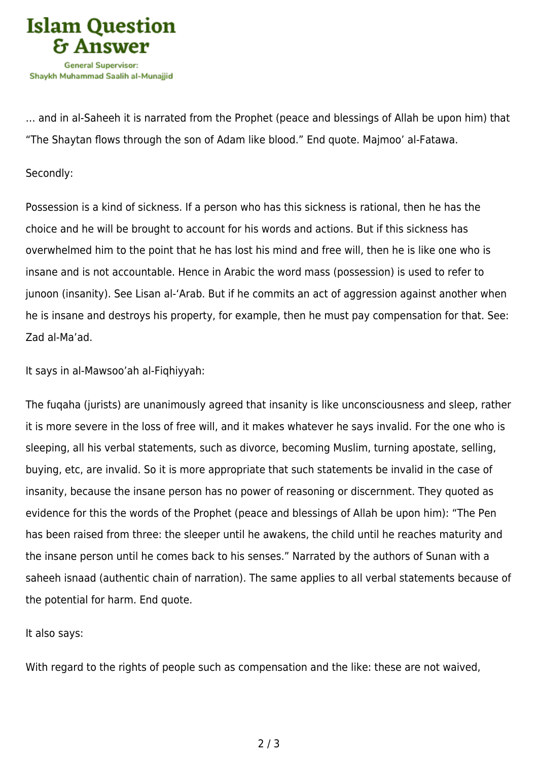

… and in al-Saheeh it is narrated from the Prophet (peace and blessings of Allah be upon him) that "The Shaytan flows through the son of Adam like blood." End quote. Majmoo' al-Fatawa.

## Secondly:

Possession is a kind of sickness. If a person who has this sickness is rational, then he has the choice and he will be brought to account for his words and actions. But if this sickness has overwhelmed him to the point that he has lost his mind and free will, then he is like one who is insane and is not accountable. Hence in Arabic the word mass (possession) is used to refer to junoon (insanity). See Lisan al-'Arab. But if he commits an act of aggression against another when he is insane and destroys his property, for example, then he must pay compensation for that. See: Zad al-Ma'ad.

It says in al-Mawsoo'ah al-Fiqhiyyah:

The fuqaha (jurists) are unanimously agreed that insanity is like unconsciousness and sleep, rather it is more severe in the loss of free will, and it makes whatever he says invalid. For the one who is sleeping, all his verbal statements, such as divorce, becoming Muslim, turning apostate, selling, buying, etc, are invalid. So it is more appropriate that such statements be invalid in the case of insanity, because the insane person has no power of reasoning or discernment. They quoted as evidence for this the words of the Prophet (peace and blessings of Allah be upon him): "The Pen has been raised from three: the sleeper until he awakens, the child until he reaches maturity and the insane person until he comes back to his senses." Narrated by the authors of Sunan with a saheeh isnaad (authentic chain of narration). The same applies to all verbal statements because of the potential for harm. End quote.

It also says:

With regard to the rights of people such as compensation and the like: these are not waived,